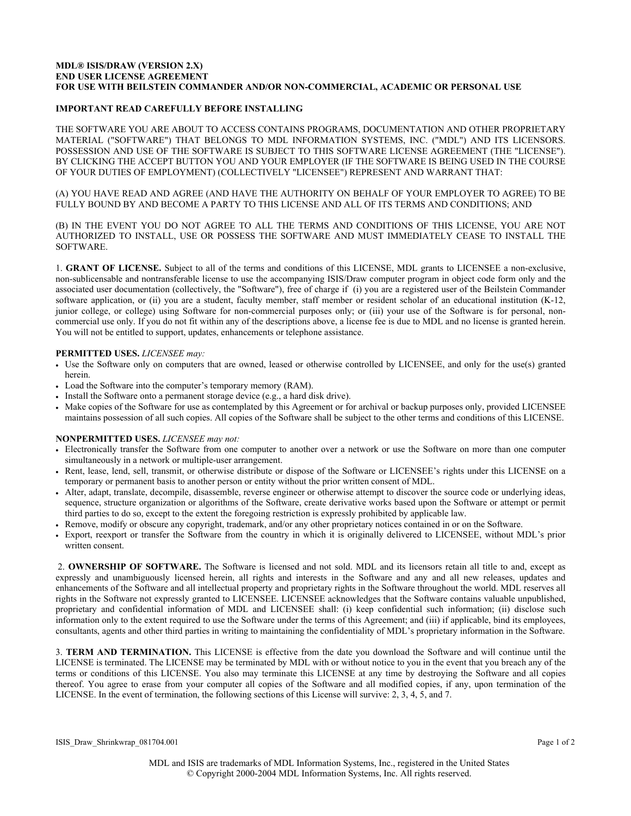## **MDL® ISIS/DRAW (VERSION 2.X) END USER LICENSE AGREEMENT FOR USE WITH BEILSTEIN COMMANDER AND/OR NON-COMMERCIAL, ACADEMIC OR PERSONAL USE**

## **IMPORTANT READ CAREFULLY BEFORE INSTALLING**

THE SOFTWARE YOU ARE ABOUT TO ACCESS CONTAINS PROGRAMS, DOCUMENTATION AND OTHER PROPRIETARY MATERIAL ("SOFTWARE") THAT BELONGS TO MDL INFORMATION SYSTEMS, INC. ("MDL") AND ITS LICENSORS. POSSESSION AND USE OF THE SOFTWARE IS SUBJECT TO THIS SOFTWARE LICENSE AGREEMENT (THE "LICENSE"). BY CLICKING THE ACCEPT BUTTON YOU AND YOUR EMPLOYER (IF THE SOFTWARE IS BEING USED IN THE COURSE OF YOUR DUTIES OF EMPLOYMENT) (COLLECTIVELY "LICENSEE") REPRESENT AND WARRANT THAT:

(A) YOU HAVE READ AND AGREE (AND HAVE THE AUTHORITY ON BEHALF OF YOUR EMPLOYER TO AGREE) TO BE FULLY BOUND BY AND BECOME A PARTY TO THIS LICENSE AND ALL OF ITS TERMS AND CONDITIONS; AND

(B) IN THE EVENT YOU DO NOT AGREE TO ALL THE TERMS AND CONDITIONS OF THIS LICENSE, YOU ARE NOT AUTHORIZED TO INSTALL, USE OR POSSESS THE SOFTWARE AND MUST IMMEDIATELY CEASE TO INSTALL THE SOFTWARE.

1. **GRANT OF LICENSE.** Subject to all of the terms and conditions of this LICENSE, MDL grants to LICENSEE a non-exclusive, non-sublicensable and nontransferable license to use the accompanying ISIS/Draw computer program in object code form only and the associated user documentation (collectively, the "Software"), free of charge if (i) you are a registered user of the Beilstein Commander software application, or (ii) you are a student, faculty member, staff member or resident scholar of an educational institution (K-12, junior college, or college) using Software for non-commercial purposes only; or (iii) your use of the Software is for personal, noncommercial use only. If you do not fit within any of the descriptions above, a license fee is due to MDL and no license is granted herein. You will not be entitled to support, updates, enhancements or telephone assistance.

## **PERMITTED USES.** *LICENSEE may:*

- Use the Software only on computers that are owned, leased or otherwise controlled by LICENSEE, and only for the use(s) granted herein.
- Load the Software into the computer's temporary memory (RAM).
- Install the Software onto a permanent storage device (e.g., a hard disk drive).
- Make copies of the Software for use as contemplated by this Agreement or for archival or backup purposes only, provided LICENSEE maintains possession of all such copies. All copies of the Software shall be subject to the other terms and conditions of this LICENSE.

## **NONPERMITTED USES.** *LICENSEE may not:*

- Electronically transfer the Software from one computer to another over a network or use the Software on more than one computer simultaneously in a network or multiple-user arrangement.
- Rent, lease, lend, sell, transmit, or otherwise distribute or dispose of the Software or LICENSEE's rights under this LICENSE on a temporary or permanent basis to another person or entity without the prior written consent of MDL.
- Alter, adapt, translate, decompile, disassemble, reverse engineer or otherwise attempt to discover the source code or underlying ideas, sequence, structure organization or algorithms of the Software, create derivative works based upon the Software or attempt or permit third parties to do so, except to the extent the foregoing restriction is expressly prohibited by applicable law.
- Remove, modify or obscure any copyright, trademark, and/or any other proprietary notices contained in or on the Software.
- Export, reexport or transfer the Software from the country in which it is originally delivered to LICENSEE, without MDL's prior written consent.

 2. **OWNERSHIP OF SOFTWARE.** The Software is licensed and not sold. MDL and its licensors retain all title to and, except as expressly and unambiguously licensed herein, all rights and interests in the Software and any and all new releases, updates and enhancements of the Software and all intellectual property and proprietary rights in the Software throughout the world. MDL reserves all rights in the Software not expressly granted to LICENSEE. LICENSEE acknowledges that the Software contains valuable unpublished, proprietary and confidential information of MDL and LICENSEE shall: (i) keep confidential such information; (ii) disclose such information only to the extent required to use the Software under the terms of this Agreement; and (iii) if applicable, bind its employees, consultants, agents and other third parties in writing to maintaining the confidentiality of MDL's proprietary information in the Software.

3. **TERM AND TERMINATION.** This LICENSE is effective from the date you download the Software and will continue until the LICENSE is terminated. The LICENSE may be terminated by MDL with or without notice to you in the event that you breach any of the terms or conditions of this LICENSE. You also may terminate this LICENSE at any time by destroying the Software and all copies thereof. You agree to erase from your computer all copies of the Software and all modified copies, if any, upon termination of the LICENSE. In the event of termination, the following sections of this License will survive: 2, 3, 4, 5, and 7.